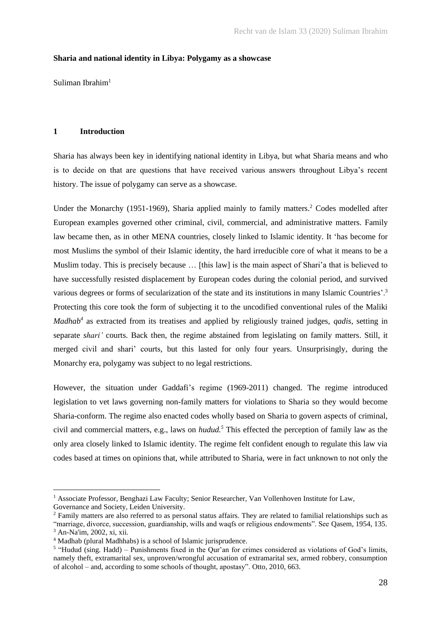## **Sharia and national identity in Libya: Polygamy as a showcase**

Suliman Ibrahim $<sup>1</sup>$ </sup>

# **1 Introduction**

Sharia has always been key in identifying national identity in Libya, but what Sharia means and who is to decide on that are questions that have received various answers throughout Libya's recent history. The issue of polygamy can serve as a showcase.

Under the Monarchy (1951-1969), Sharia applied mainly to family matters.<sup>2</sup> Codes modelled after European examples governed other criminal, civil, commercial, and administrative matters. Family law became then, as in other MENA countries, closely linked to Islamic identity. It 'has become for most Muslims the symbol of their Islamic identity, the hard irreducible core of what it means to be a Muslim today. This is precisely because … [this law] is the main aspect of Shari'a that is believed to have successfully resisted displacement by European codes during the colonial period, and survived various degrees or forms of secularization of the state and its institutions in many Islamic Countries'.<sup>3</sup> Protecting this core took the form of subjecting it to the uncodified conventional rules of the Maliki *Madhab<sup>4</sup>* as extracted from its treatises and applied by religiously trained judges, *qadis*, setting in separate *shari'* courts. Back then, the regime abstained from legislating on family matters. Still, it merged civil and shari' courts, but this lasted for only four years. Unsurprisingly, during the Monarchy era, polygamy was subject to no legal restrictions.

However, the situation under Gaddafi's regime (1969-2011) changed. The regime introduced legislation to vet laws governing non-family matters for violations to Sharia so they would become Sharia-conform. The regime also enacted codes wholly based on Sharia to govern aspects of criminal, civil and commercial matters, e.g., laws on *hudud.<sup>5</sup>* This effected the perception of family law as the only area closely linked to Islamic identity. The regime felt confident enough to regulate this law via codes based at times on opinions that, while attributed to Sharia, were in fact unknown to not only the

<sup>&</sup>lt;sup>1</sup> Associate Professor, Benghazi Law Faculty; Senior Researcher, Van Vollenhoven Institute for Law,

Governance and Society, Leiden University.

<sup>&</sup>lt;sup>2</sup> Family matters are also referred to as personal status affairs. They are related to familial relationships such as "marriage, divorce, succession, guardianship, wills and waqfs or religious endowments". See Qasem, 1954, 135. <sup>3</sup> An-Na'im, 2002, xi, xii.

<sup>4</sup> Madhab (plural Madhhabs) is a school of Islamic jurisprudence.

<sup>&</sup>lt;sup>5</sup> "Hudud (sing. Hadd) – Punishments fixed in the Qur'an for crimes considered as violations of God's limits, namely theft, extramarital sex, unproven/wrongful accusation of extramarital sex, armed robbery, consumption of alcohol – and, according to some schools of thought, apostasy". Otto, 2010, 663.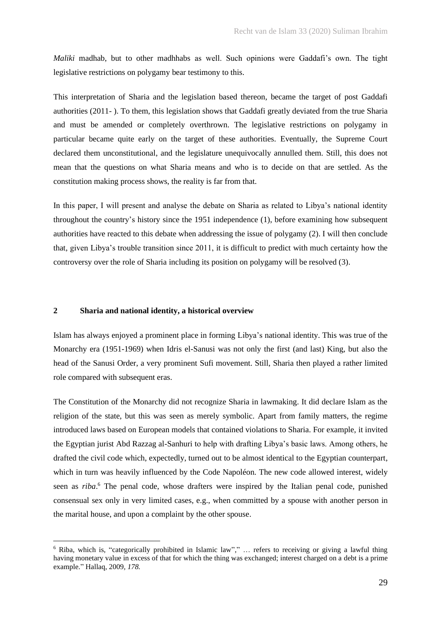*Maliki* madhab, but to other madhhabs as well. Such opinions were Gaddafi's own. The tight legislative restrictions on polygamy bear testimony to this.

This interpretation of Sharia and the legislation based thereon, became the target of post Gaddafi authorities (2011- ). To them, this legislation shows that Gaddafi greatly deviated from the true Sharia and must be amended or completely overthrown. The legislative restrictions on polygamy in particular became quite early on the target of these authorities. Eventually, the Supreme Court declared them unconstitutional, and the legislature unequivocally annulled them. Still, this does not mean that the questions on what Sharia means and who is to decide on that are settled. As the constitution making process shows, the reality is far from that.

In this paper, I will present and analyse the debate on Sharia as related to Libya's national identity throughout the country's history since the 1951 independence (1), before examining how subsequent authorities have reacted to this debate when addressing the issue of polygamy (2). I will then conclude that, given Libya's trouble transition since 2011, it is difficult to predict with much certainty how the controversy over the role of Sharia including its position on polygamy will be resolved (3).

### **2 Sharia and national identity, a historical overview**

Islam has always enjoyed a prominent place in forming Libya's national identity. This was true of the Monarchy era (1951-1969) when Idris el-Sanusi was not only the first (and last) King, but also the head of the Sanusi Order, a very prominent Sufi movement. Still, Sharia then played a rather limited role compared with subsequent eras.

The Constitution of the Monarchy did not recognize Sharia in lawmaking. It did declare Islam as the religion of the state, but this was seen as merely symbolic. Apart from family matters, the regime introduced laws based on European models that contained violations to Sharia. For example, it invited the Egyptian jurist Abd Razzag al-Sanhuri to help with drafting Libya's basic laws. Among others, he drafted the civil code which, expectedly, turned out to be almost identical to the Egyptian counterpart, which in turn was heavily influenced by the Code Napoléon. The new code allowed interest, widely seen as *riba*. <sup>6</sup> The penal code, whose drafters were inspired by the Italian penal code, punished consensual sex only in very limited cases, e.g., when committed by a spouse with another person in the marital house, and upon a complaint by the other spouse.

<sup>6</sup> Riba, which is, "categorically prohibited in Islamic law"," … refers to receiving or giving a lawful thing having monetary value in excess of that for which the thing was exchanged; interest charged on a debt is a prime example." Hallaq, 2009*, 178.*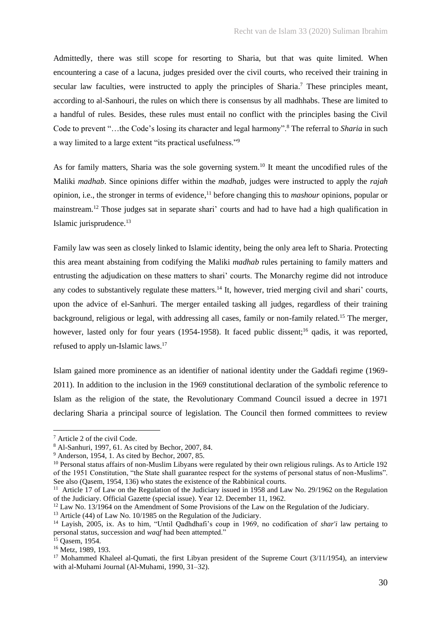Admittedly, there was still scope for resorting to Sharia, but that was quite limited. When encountering a case of a lacuna, judges presided over the civil courts, who received their training in secular law faculties, were instructed to apply the principles of Sharia.<sup>7</sup> These principles meant, according to al-Sanhouri, the rules on which there is consensus by all madhhabs. These are limited to a handful of rules. Besides, these rules must entail no conflict with the principles basing the Civil Code to prevent "…the Code's losing its character and legal harmony".<sup>8</sup> The referral to *Sharia* in such a way limited to a large extent "its practical usefulness."<sup>9</sup>

As for family matters, Sharia was the sole governing system.<sup>10</sup> It meant the uncodified rules of the Maliki *madhab*. Since opinions differ within the *madhab*, judges were instructed to apply the *rajah*  opinion, i.e., the stronger in terms of evidence, <sup>11</sup> before changing this to *mashour* opinions*,* popular or mainstream*.* <sup>12</sup> Those judges sat in separate shari' courts and had to have had a high qualification in Islamic jurisprudence.<sup>13</sup>

Family law was seen as closely linked to Islamic identity, being the only area left to Sharia. Protecting this area meant abstaining from codifying the Maliki *madhab* rules pertaining to family matters and entrusting the adjudication on these matters to shari' courts. The Monarchy regime did not introduce any codes to substantively regulate these matters.<sup>14</sup> It, however, tried merging civil and shari' courts, upon the advice of el-Sanhuri. The merger entailed tasking all judges, regardless of their training background, religious or legal, with addressing all cases, family or non-family related.<sup>15</sup> The merger, however, lasted only for four years (1954-1958). It faced public dissent;<sup>16</sup> qadis, it was reported, refused to apply un-Islamic laws.<sup>17</sup>

Islam gained more prominence as an identifier of national identity under the Gaddafi regime (1969- 2011). In addition to the inclusion in the 1969 constitutional declaration of the symbolic reference to Islam as the religion of the state, the Revolutionary Command Council issued a decree in 1971 declaring Sharia a principal source of legislation. The Council then formed committees to review

<sup>7</sup> Article 2 of the civil Code.

<sup>8</sup> Al-Sanhuri, 1997, 61. As cited by Bechor, 2007, 84.

 $9$  Anderson, 1954, 1. As cited by Bechor, 2007, 85.

<sup>&</sup>lt;sup>10</sup> Personal status affairs of non-Muslim Libyans were regulated by their own religious rulings. As to Article 192 of the 1951 Constitution, "the State shall guarantee respect for the systems of personal status of non-Muslims". See also (Qasem, 1954, 136) who states the existence of the Rabbinical courts.

<sup>&</sup>lt;sup>11</sup> Article 17 of Law on the Regulation of the Judiciary issued in 1958 and Law No. 29/1962 on the Regulation of the Judiciary. Official Gazette (special issue). Year 12. December 11, 1962.

<sup>&</sup>lt;sup>12</sup> Law No. 13/1964 on the Amendment of Some Provisions of the Law on the Regulation of the Judiciary.

<sup>&</sup>lt;sup>13</sup> Article (44) of Law No. 10/1985 on the Regulation of the Judiciary.

<sup>14</sup> Layish, 2005, ix. As to him, "Until Qadhdhafi's coup in 1969, no codification of *shar'i* law pertaing to personal status, succession and *waqf* had been attempted."

<sup>15</sup> Qasem, 1954.

<sup>16</sup> Metz, 1989, 193.

<sup>&</sup>lt;sup>17</sup> Mohammed Khaleel al-Qumati, the first Libyan president of the Supreme Court (3/11/1954), an interview with al-Muhami Journal (Al-Muhami, 1990, 31–32).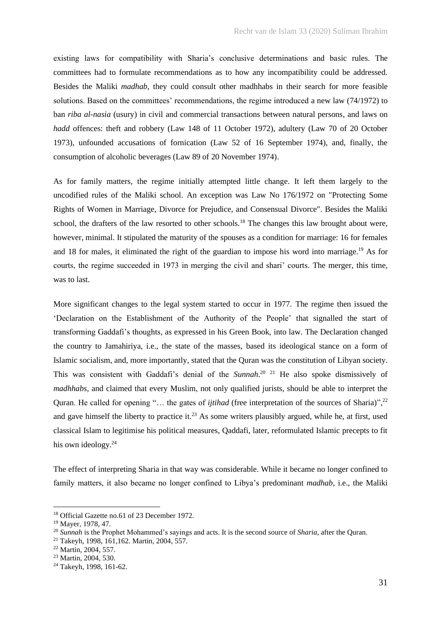existing laws for compatibility with Sharia's conclusive determinations and basic rules. The committees had to formulate recommendations as to how any incompatibility could be addressed. Besides the Maliki *madhab*, they could consult other madhhabs in their search for more feasible solutions. Based on the committees' recommendations, the regime introduced a new law (74/1972) to ban *riba al-nasia* (usury) in civil and commercial transactions between natural persons, and laws on *hadd* offences: theft and robbery (Law 148 of 11 October 1972), adultery (Law 70 of 20 October 1973), unfounded accusations of fornication (Law 52 of 16 September 1974), and, finally, the consumption of alcoholic beverages (Law 89 of 20 November 1974).

As for family matters, the regime initially attempted little change. It left them largely to the uncodified rules of the Maliki school. An exception was Law No 176/1972 on "Protecting Some Rights of Women in Marriage, Divorce for Prejudice, and Consensual Divorce". Besides the Maliki school, the drafters of the law resorted to other schools.<sup>18</sup> The changes this law brought about were, however, minimal. It stipulated the maturity of the spouses as a condition for marriage: 16 for females and 18 for males, it eliminated the right of the guardian to impose his word into marriage.<sup>19</sup> As for courts, the regime succeeded in 1973 in merging the civil and shari' courts. The merger, this time, was to last.

More significant changes to the legal system started to occur in 1977. The regime then issued the 'Declaration on the Establishment of the Authority of the People' that signalled the start of transforming Gaddafi's thoughts, as expressed in his Green Book, into law. The Declaration changed the country to Jamahiriya, i.e., the state of the masses, based its ideological stance on a form of Islamic socialism, and, more importantly, stated that the Quran was the constitution of Libyan society. This was consistent with Gaddafi's denial of the *Sunnah*. <sup>20</sup> <sup>21</sup> He also spoke dismissively of *madhhabs*, and claimed that every Muslim, not only qualified jurists, should be able to interpret the Quran. He called for opening "... the gates of *ijtihad* (free interpretation of the sources of Sharia)",<sup>22</sup> and gave himself the liberty to practice it.<sup>23</sup> As some writers plausibly argued, while he, at first, used classical Islam to legitimise his political measures, Qaddafi, later, reformulated Islamic precepts to fit his own ideology.<sup>24</sup>

The effect of interpreting Sharia in that way was considerable. While it became no longer confined to family matters, it also became no longer confined to Libya's predominant *madhab*, i.e., the Maliki

<sup>18</sup> Official Gazette no.61 of 23 December 1972.

<sup>19</sup> Mayer, 1978, 47.

<sup>20</sup> *Sunnah* is the Prophet Mohammed's sayings and acts. It is the second source of *Sharia*, after the Quran.

<sup>21</sup> Takeyh, 1998, 161,162. Martin, 2004, 557.

<sup>22</sup> Martin, 2004, 557.

<sup>&</sup>lt;sup>23</sup> Martin, 2004, 530.

<sup>24</sup> Takeyh, 1998, 161-62.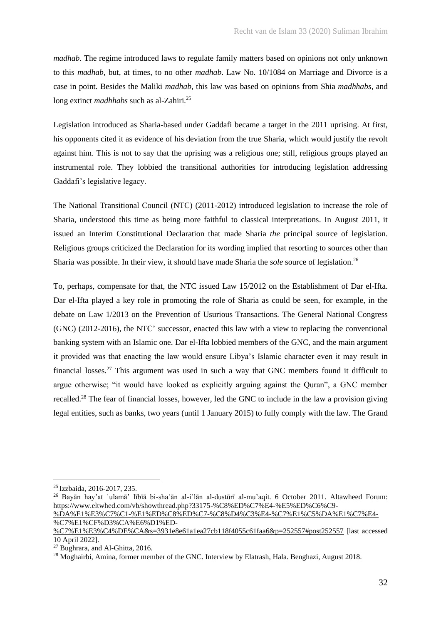*madhab*. The regime introduced laws to regulate family matters based on opinions not only unknown to this *madhab*, but, at times, to no other *madhab*. Law No. 10/1084 on Marriage and Divorce is a case in point. Besides the Maliki *madhab,* this law was based on opinions from Shia *madhhabs,* and long extinct *madhhabs* such as al-Zahiri*.* 25

Legislation introduced as Sharia-based under Gaddafi became a target in the 2011 uprising. At first, his opponents cited it as evidence of his deviation from the true Sharia, which would justify the revolt against him. This is not to say that the uprising was a religious one; still, religious groups played an instrumental role. They lobbied the transitional authorities for introducing legislation addressing Gaddafi's legislative legacy.

The National Transitional Council (NTC) (2011-2012) introduced legislation to increase the role of Sharia, understood this time as being more faithful to classical interpretations. In August 2011, it issued an Interim Constitutional Declaration that made Sharia *the* principal source of legislation. Religious groups criticized the Declaration for its wording implied that resorting to sources other than Sharia was possible. In their view, it should have made Sharia the *sole* source of legislation.<sup>26</sup>

To, perhaps, compensate for that, the NTC issued Law 15/2012 on the Establishment of Dar el-Ifta. Dar el-Ifta played a key role in promoting the role of Sharia as could be seen, for example, in the debate on Law 1/2013 on the Prevention of Usurious Transactions. The General National Congress (GNC) (2012-2016), the NTC' successor, enacted this law with a view to replacing the conventional banking system with an Islamic one. Dar el-Ifta lobbied members of the GNC, and the main argument it provided was that enacting the law would ensure Libya's Islamic character even it may result in financial losses.<sup>27</sup> This argument was used in such a way that GNC members found it difficult to argue otherwise; "it would have looked as explicitly arguing against the Quran", a GNC member recalled.<sup>28</sup> The fear of financial losses, however, led the GNC to include in the law a provision giving legal entities, such as banks, two years (until 1 January 2015) to fully comply with the law. The Grand

<sup>25</sup> Izzbaida, 2016-2017, 235.

<sup>26</sup> Bayān hay'at ʿulamā' lībīā bi-shaʿān al-iʿlān al-dustūrī al-mu'aqit. 6 October 2011. Altawheed Forum: [https://www.eltwhed.com/vb/showthread.php?33175-%C8%ED%C7%E4-%E5%ED%C6%C9-](https://www.eltwhed.com/vb/showthread.php?33175-%C8%ED%C7%E4-%E5%ED%C6%C9-%DA%E1%E3%C7%C1-%E1%ED%C8%ED%C7-%C8%D4%C3%E4-%C7%E1%C5%DA%E1%C7%E4-%C7%E1%CF%D3%CA%E6%D1%ED-%C7%E1%E3%C4%DE%CA&s=3931e8e61a1ea27cb118f4055c61faa6&p=252557#post252557) [%DA%E1%E3%C7%C1-%E1%ED%C8%ED%C7-%C8%D4%C3%E4-%C7%E1%C5%DA%E1%C7%E4-](https://www.eltwhed.com/vb/showthread.php?33175-%C8%ED%C7%E4-%E5%ED%C6%C9-%DA%E1%E3%C7%C1-%E1%ED%C8%ED%C7-%C8%D4%C3%E4-%C7%E1%C5%DA%E1%C7%E4-%C7%E1%CF%D3%CA%E6%D1%ED-%C7%E1%E3%C4%DE%CA&s=3931e8e61a1ea27cb118f4055c61faa6&p=252557#post252557)

[<sup>%</sup>C7%E1%CF%D3%CA%E6%D1%ED-](https://www.eltwhed.com/vb/showthread.php?33175-%C8%ED%C7%E4-%E5%ED%C6%C9-%DA%E1%E3%C7%C1-%E1%ED%C8%ED%C7-%C8%D4%C3%E4-%C7%E1%C5%DA%E1%C7%E4-%C7%E1%CF%D3%CA%E6%D1%ED-%C7%E1%E3%C4%DE%CA&s=3931e8e61a1ea27cb118f4055c61faa6&p=252557#post252557)

[<sup>%</sup>C7%E1%E3%C4%DE%CA&s=3931e8e61a1ea27cb118f4055c61faa6&p=252557#post252557](https://www.eltwhed.com/vb/showthread.php?33175-%C8%ED%C7%E4-%E5%ED%C6%C9-%DA%E1%E3%C7%C1-%E1%ED%C8%ED%C7-%C8%D4%C3%E4-%C7%E1%C5%DA%E1%C7%E4-%C7%E1%CF%D3%CA%E6%D1%ED-%C7%E1%E3%C4%DE%CA&s=3931e8e61a1ea27cb118f4055c61faa6&p=252557#post252557) [last accessed 10 April 2022].

<sup>&</sup>lt;sup>27</sup> Bughrara, and Al-Ghitta, 2016.

<sup>&</sup>lt;sup>28</sup> Moghairbi, Amina, former member of the GNC. Interview by Elatrash, Hala. Benghazi, August 2018.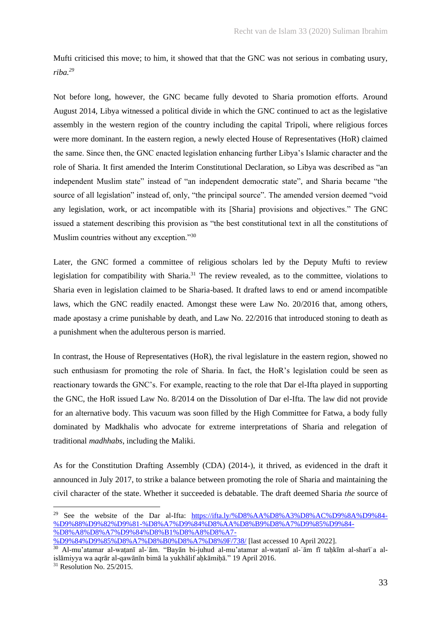Mufti criticised this move; to him, it showed that that the GNC was not serious in combating usury, *riba.<sup>29</sup>*

Not before long, however, the GNC became fully devoted to Sharia promotion efforts. Around August 2014, Libya witnessed a political divide in which the GNC continued to act as the legislative assembly in the western region of the country including the capital Tripoli, where religious forces were more dominant. In the eastern region, a newly elected House of Representatives (HoR) claimed the same. Since then, the GNC enacted legislation enhancing further Libya's Islamic character and the role of Sharia. It first amended the Interim Constitutional Declaration, so Libya was described as "an independent Muslim state" instead of "an independent democratic state", and Sharia became "the source of all legislation" instead of, only, "the principal source". The amended version deemed "void any legislation, work, or act incompatible with its [Sharia] provisions and objectives." The GNC issued a statement describing this provision as "the best constitutional text in all the constitutions of Muslim countries without any exception."30

Later, the GNC formed a committee of religious scholars led by the Deputy Mufti to review legislation for compatibility with Sharia.<sup>31</sup> The review revealed, as to the committee, violations to Sharia even in legislation claimed to be Sharia-based. It drafted laws to end or amend incompatible laws, which the GNC readily enacted. Amongst these were Law No. 20/2016 that, among others, made apostasy a crime punishable by death, and Law No. 22/2016 that introduced stoning to death as a punishment when the adulterous person is married.

In contrast, the House of Representatives (HoR), the rival legislature in the eastern region, showed no such enthusiasm for promoting the role of Sharia. In fact, the HoR's legislation could be seen as reactionary towards the GNC's. For example, reacting to the role that Dar el-Ifta played in supporting the GNC, the HoR issued Law No. 8/2014 on the Dissolution of Dar el-Ifta. The law did not provide for an alternative body. This vacuum was soon filled by the High Committee for Fatwa, a body fully dominated by Madkhalis who advocate for extreme interpretations of Sharia and relegation of traditional *madhhabs*, including the Maliki.

As for the Constitution Drafting Assembly (CDA) (2014-), it thrived, as evidenced in the draft it announced in July 2017, to strike a balance between promoting the role of Sharia and maintaining the civil character of the state. Whether it succeeded is debatable. The draft deemed Sharia *the* source of

<sup>&</sup>lt;sup>29</sup> See the website of the Dar al-Ifta: [https://ifta.ly/%D8%AA%D8%A3%D8%AC%D9%8A%D9%84-](https://ifta.ly/%D8%AA%D8%A3%D8%AC%D9%8A%D9%84-%D9%88%D9%82%D9%81-%D8%A7%D9%84%D8%AA%D8%B9%D8%A7%D9%85%D9%84-%D8%A8%D8%A7%D9%84%D8%B1%D8%A8%D8%A7-%D9%84%D9%85%D8%A7%D8%B0%D8%A7%D8%9F/738/) [%D9%88%D9%82%D9%81-%D8%A7%D9%84%D8%AA%D8%B9%D8%A7%D9%85%D9%84-](https://ifta.ly/%D8%AA%D8%A3%D8%AC%D9%8A%D9%84-%D9%88%D9%82%D9%81-%D8%A7%D9%84%D8%AA%D8%B9%D8%A7%D9%85%D9%84-%D8%A8%D8%A7%D9%84%D8%B1%D8%A8%D8%A7-%D9%84%D9%85%D8%A7%D8%B0%D8%A7%D8%9F/738/) [%D8%A8%D8%A7%D9%84%D8%B1%D8%A8%D8%A7-](https://ifta.ly/%D8%AA%D8%A3%D8%AC%D9%8A%D9%84-%D9%88%D9%82%D9%81-%D8%A7%D9%84%D8%AA%D8%B9%D8%A7%D9%85%D9%84-%D8%A8%D8%A7%D9%84%D8%B1%D8%A8%D8%A7-%D9%84%D9%85%D8%A7%D8%B0%D8%A7%D8%9F/738/)

[<sup>%</sup>D9%84%D9%85%D8%A7%D8%B0%D8%A7%D8%9F/738/](https://ifta.ly/%D8%AA%D8%A3%D8%AC%D9%8A%D9%84-%D9%88%D9%82%D9%81-%D8%A7%D9%84%D8%AA%D8%B9%D8%A7%D9%85%D9%84-%D8%A8%D8%A7%D9%84%D8%B1%D8%A8%D8%A7-%D9%84%D9%85%D8%A7%D8%B0%D8%A7%D8%9F/738/) [last accessed 10 April 2022].

<sup>30</sup> Al-mu'atamar al-waṭanī al-ʿām. "Bayān bi-juhud al-mu'atamar al-waṭanī al-ʿām fī taḥkīm al-sharīʿa alislāmiyya wa aqrār al-qawānīn bimā la yukhālif aḥkāmiḥā." 19 April 2016.

 $31$  Resolution No. 25/2015.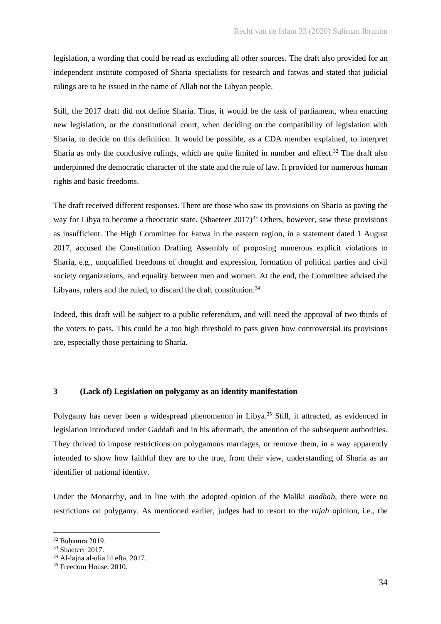legislation, a wording that could be read as excluding all other sources. The draft also provided for an independent institute composed of Sharia specialists for research and fatwas and stated that judicial rulings are to be issued in the name of Allah not the Libyan people.

Still, the 2017 draft did not define Sharia. Thus, it would be the task of parliament, when enacting new legislation, or the constitutional court, when deciding on the compatibility of legislation with Sharia, to decide on this definition. It would be possible, as a CDA member explained, to interpret Sharia as only the conclusive rulings, which are quite limited in number and effect.<sup>32</sup> The draft also underpinned the democratic character of the state and the rule of law. It provided for numerous human rights and basic freedoms.

The draft received different responses. There are those who saw its provisions on Sharia as paving the way for Libya to become a theocratic state. (Shaeteer 2017)<sup>33</sup> Others, however, saw these provisions as insufficient. The High Committee for Fatwa in the eastern region, in a statement dated 1 August 2017, accused the Constitution Drafting Assembly of proposing numerous explicit violations to Sharia, e.g., unqualified freedoms of thought and expression, formation of political parties and civil society organizations, and equality between men and women. At the end, the Committee advised the Libyans, rulers and the ruled, to discard the draft constitution. $34$ 

Indeed, this draft will be subject to a public referendum, and will need the approval of two thirds of the voters to pass. This could be a too high threshold to pass given how controversial its provisions are, especially those pertaining to Sharia.

# **3 (Lack of) Legislation on polygamy as an identity manifestation**

Polygamy has never been a widespread phenomenon in Libya.<sup>35</sup> Still, it attracted, as evidenced in legislation introduced under Gaddafi and in his aftermath, the attention of the subsequent authorities. They thrived to impose restrictions on polygamous marriages, or remove them, in a way apparently intended to show how faithful they are to the true, from their view, understanding of Sharia as an identifier of national identity.

Under the Monarchy, and in line with the adopted opinion of the Maliki *madhab*, there were no restrictions on polygamy. As mentioned earlier, judges had to resort to the *rajah* opinion, i.e., the

<sup>32</sup> Buḥamra 2019.

<sup>&</sup>lt;sup>33</sup> Shaeteer 2017.

<sup>34</sup> Al-lajna al-ulia lil efta, 2017.

<sup>&</sup>lt;sup>35</sup> Freedom House, 2010.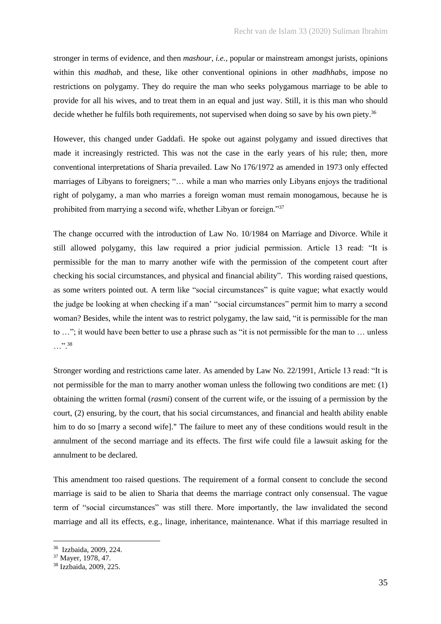stronger in terms of evidence, and then *mashour, i.e.,* popular or mainstream amongst jurists, opinions within this *madhab*, and these, like other conventional opinions in other *madhhabs*, impose no restrictions on polygamy. They do require the man who seeks polygamous marriage to be able to provide for all his wives, and to treat them in an equal and just way. Still, it is this man who should decide whether he fulfils both requirements, not supervised when doing so save by his own piety.<sup>36</sup>

However, this changed under Gaddafi. He spoke out against polygamy and issued directives that made it increasingly restricted. This was not the case in the early years of his rule; then, more conventional interpretations of Sharia prevailed. Law No 176/1972 as amended in 1973 only effected marriages of Libyans to foreigners; "… while a man who marries only Libyans enjoys the traditional right of polygamy, a man who marries a foreign woman must remain monogamous, because he is prohibited from marrying a second wife, whether Libyan or foreign."<sup>37</sup>

The change occurred with the introduction of Law No. 10/1984 on Marriage and Divorce. While it still allowed polygamy, this law required a prior judicial permission. Article 13 read: "It is permissible for the man to marry another wife with the permission of the competent court after checking his social circumstances, and physical and financial ability". This wording raised questions, as some writers pointed out. A term like "social circumstances" is quite vague; what exactly would the judge be looking at when checking if a man' "social circumstances" permit him to marry a second woman? Besides, while the intent was to restrict polygamy, the law said, "it is permissible for the man to …"; it would have been better to use a phrase such as "it is not permissible for the man to … unless …".<sup>38</sup>

Stronger wording and restrictions came later. As amended by Law No. 22/1991, Article 13 read: "It is not permissible for the man to marry another woman unless the following two conditions are met: (1) obtaining the written formal (*rasmi*) consent of the current wife, or the issuing of a permission by the court, (2) ensuring, by the court, that his social circumstances, and financial and health ability enable him to do so [marry a second wife]." The failure to meet any of these conditions would result in the annulment of the second marriage and its effects. The first wife could file a lawsuit asking for the annulment to be declared.

This amendment too raised questions. The requirement of a formal consent to conclude the second marriage is said to be alien to Sharia that deems the marriage contract only consensual. The vague term of "social circumstances" was still there. More importantly, the law invalidated the second marriage and all its effects, e.g., linage, inheritance, maintenance. What if this marriage resulted in

<sup>36</sup> Izzbaida, 2009, 224.

<sup>&</sup>lt;sup>37</sup> Mayer, 1978, 47.

<sup>38</sup> Izzbaida, 2009, 225.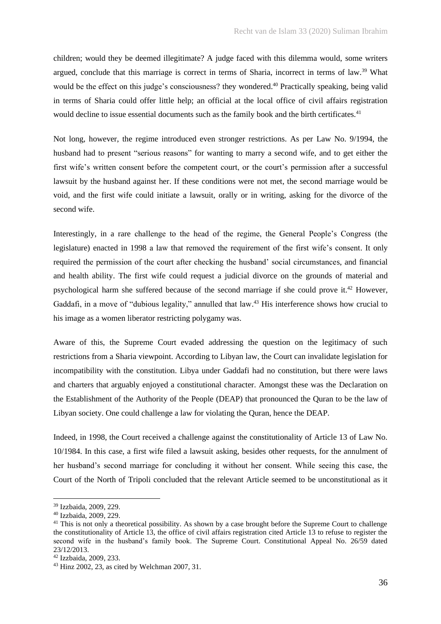children; would they be deemed illegitimate? A judge faced with this dilemma would, some writers argued, conclude that this marriage is correct in terms of Sharia, incorrect in terms of law.<sup>39</sup> What would be the effect on this judge's consciousness? they wondered.<sup>40</sup> Practically speaking, being valid in terms of Sharia could offer little help; an official at the local office of civil affairs registration would decline to issue essential documents such as the family book and the birth certificates.<sup>41</sup>

Not long, however, the regime introduced even stronger restrictions. As per Law No. 9/1994, the husband had to present "serious reasons" for wanting to marry a second wife, and to get either the first wife's written consent before the competent court, or the court's permission after a successful lawsuit by the husband against her. If these conditions were not met, the second marriage would be void, and the first wife could initiate a lawsuit, orally or in writing, asking for the divorce of the second wife.

Interestingly, in a rare challenge to the head of the regime, the General People's Congress (the legislature) enacted in 1998 a law that removed the requirement of the first wife's consent. It only required the permission of the court after checking the husband' social circumstances, and financial and health ability. The first wife could request a judicial divorce on the grounds of material and psychological harm she suffered because of the second marriage if she could prove it.<sup>42</sup> However, Gaddafi, in a move of "dubious legality," annulled that law.<sup>43</sup> His interference shows how crucial to his image as a women liberator restricting polygamy was.

Aware of this, the Supreme Court evaded addressing the question on the legitimacy of such restrictions from a Sharia viewpoint. According to Libyan law, the Court can invalidate legislation for incompatibility with the constitution. Libya under Gaddafi had no constitution, but there were laws and charters that arguably enjoyed a constitutional character. Amongst these was the Declaration on the Establishment of the Authority of the People (DEAP) that pronounced the Quran to be the law of Libyan society. One could challenge a law for violating the Quran, hence the DEAP.

Indeed, in 1998, the Court received a challenge against the constitutionality of Article 13 of Law No. 10/1984. In this case, a first wife filed a lawsuit asking, besides other requests, for the annulment of her husband's second marriage for concluding it without her consent. While seeing this case, the Court of the North of Tripoli concluded that the relevant Article seemed to be unconstitutional as it

<sup>39</sup> Izzbaida, 2009, 229.

<sup>40</sup> Izzbaida, 2009, 229.

<sup>&</sup>lt;sup>41</sup> This is not only a theoretical possibility. As shown by a case brought before the Supreme Court to challenge the constitutionality of Article 13, the office of civil affairs registration cited Article 13 to refuse to register the second wife in the husband's family book. The Supreme Court. Constitutional Appeal No. 26/59 dated 23/12/2013.

<sup>42</sup> Izzbaida, 2009, 233.

<sup>43</sup> Hinz 2002, 23, as cited by Welchman 2007, 31.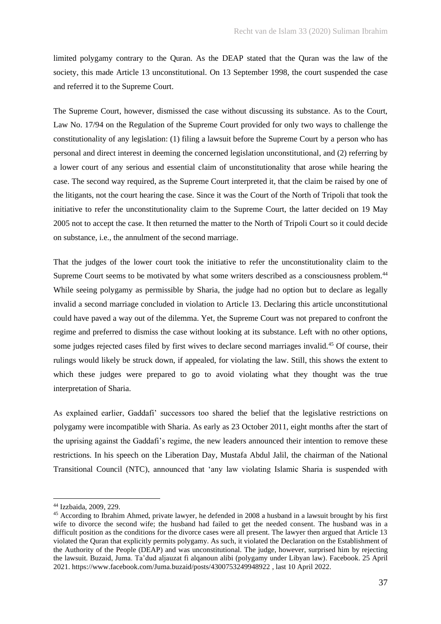limited polygamy contrary to the Quran. As the DEAP stated that the Quran was the law of the society, this made Article 13 unconstitutional. On 13 September 1998, the court suspended the case and referred it to the Supreme Court.

The Supreme Court, however, dismissed the case without discussing its substance. As to the Court, Law No. 17/94 on the Regulation of the Supreme Court provided for only two ways to challenge the constitutionality of any legislation: (1) filing a lawsuit before the Supreme Court by a person who has personal and direct interest in deeming the concerned legislation unconstitutional, and (2) referring by a lower court of any serious and essential claim of unconstitutionality that arose while hearing the case. The second way required, as the Supreme Court interpreted it, that the claim be raised by one of the litigants, not the court hearing the case. Since it was the Court of the North of Tripoli that took the initiative to refer the unconstitutionality claim to the Supreme Court, the latter decided on 19 May 2005 not to accept the case. It then returned the matter to the North of Tripoli Court so it could decide on substance, i.e., the annulment of the second marriage.

That the judges of the lower court took the initiative to refer the unconstitutionality claim to the Supreme Court seems to be motivated by what some writers described as a consciousness problem.<sup>44</sup> While seeing polygamy as permissible by Sharia, the judge had no option but to declare as legally invalid a second marriage concluded in violation to Article 13. Declaring this article unconstitutional could have paved a way out of the dilemma. Yet, the Supreme Court was not prepared to confront the regime and preferred to dismiss the case without looking at its substance. Left with no other options, some judges rejected cases filed by first wives to declare second marriages invalid.<sup>45</sup> Of course, their rulings would likely be struck down, if appealed, for violating the law. Still, this shows the extent to which these judges were prepared to go to avoid violating what they thought was the true interpretation of Sharia.

As explained earlier, Gaddafi' successors too shared the belief that the legislative restrictions on polygamy were incompatible with Sharia. As early as 23 October 2011, eight months after the start of the uprising against the Gaddafi's regime, the new leaders announced their intention to remove these restrictions. In his speech on the Liberation Day, Mustafa Abdul Jalil, the chairman of the National Transitional Council (NTC), announced that 'any law violating Islamic Sharia is suspended with

<sup>44</sup> Izzbaida, 2009, 229.

<sup>45</sup> According to Ibrahim Ahmed, private lawyer, he defended in 2008 a husband in a lawsuit brought by his first wife to divorce the second wife; the husband had failed to get the needed consent. The husband was in a difficult position as the conditions for the divorce cases were all present. The lawyer then argued that Article 13 violated the Quran that explicitly permits polygamy. As such, it violated the Declaration on the Establishment of the Authority of the People (DEAP) and was unconstitutional. The judge, however, surprised him by rejecting the lawsuit. Buzaid, Juma. Ta'dud aljauzat fi alqanoun alibi (polygamy under Libyan law). Facebook. 25 April 2021. https://www.facebook.com/Juma.buzaid/posts/4300753249948922 , last 10 April 2022.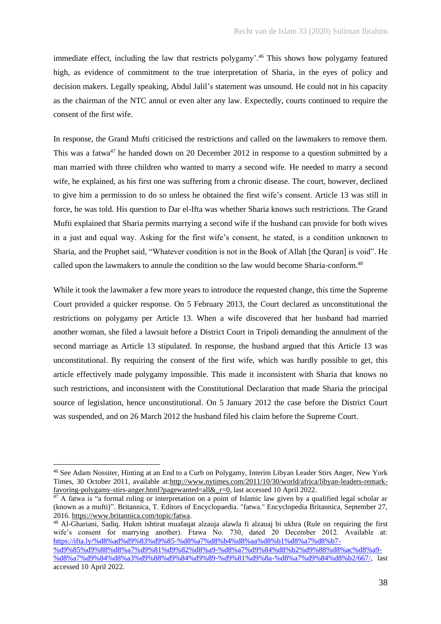immediate effect, including the law that restricts polygamy'.<sup>46</sup> This shows how polygamy featured high, as evidence of commitment to the true interpretation of Sharia, in the eyes of policy and decision makers. Legally speaking, Abdul Jalil's statement was unsound. He could not in his capacity as the chairman of the NTC annul or even alter any law. Expectedly, courts continued to require the consent of the first wife.

In response, the Grand Mufti criticised the restrictions and called on the lawmakers to remove them. This was a fatwa<sup>47</sup> he handed down on 20 December 2012 in response to a question submitted by a man married with three children who wanted to marry a second wife. He needed to marry a second wife, he explained, as his first one was suffering from a chronic disease. The court, however, declined to give him a permission to do so unless he obtained the first wife's consent. Article 13 was still in force, he was told. His question to Dar el-Ifta was whether Sharia knows such restrictions. The Grand Mufti explained that Sharia permits marrying a second wife if the husband can provide for both wives in a just and equal way. Asking for the first wife's consent, he stated, is a condition unknown to Sharia, and the Prophet said, "Whatever condition is not in the Book of Allah [the Quran] is void". He called upon the lawmakers to annule the condition so the law would become Sharia-conform.<sup>48</sup>

While it took the lawmaker a few more years to introduce the requested change, this time the Supreme Court provided a quicker response. On 5 February 2013, the Court declared as unconstitutional the restrictions on polygamy per Article 13. When a wife discovered that her husband had married another woman, she filed a lawsuit before a District Court in Tripoli demanding the annulment of the second marriage as Article 13 stipulated. In response, the husband argued that this Article 13 was unconstitutional. By requiring the consent of the first wife, which was hardly possible to get, this article effectively made polygamy impossible. This made it inconsistent with Sharia that knows no such restrictions, and inconsistent with the Constitutional Declaration that made Sharia the principal source of legislation, hence unconstitutional. On 5 January 2012 the case before the District Court was suspended, and on 26 March 2012 the husband filed his claim before the Supreme Court.

<sup>48</sup> Al-Ghariani, Sadiq. Hukm ishtirat muafaqat alzauja alawla fi alzauaj bi ukhra (Rule on requiring the first wife's consent for marrying another). Ftawa No. 730, dated 20 December 2012. Available at: [https://ifta.ly/%d8%ad%d9%83%d9%85-%d8%a7%d8%b4%d8%aa%d8%b1%d8%a7%d8%b7-](https://ifta.ly/%d8%ad%d9%83%d9%85-%d8%a7%d8%b4%d8%aa%d8%b1%d8%a7%d8%b7-%20%d9%85%d9%88%d8%a7%d9%81%d9%82%d8%a9-%d8%a7%d9%84%d8%b2%d9%88%d8%ac%d8%a9-%d8%a7%d9%84%d8%a3%d9%88%d9%84%d9%89-%d9%81%d9%8a-%d8%a7%d9%84%d8%b2/667/) [%d9%85%d9%88%d8%a7%d9%81%d9%82%d8%a9-%d8%a7%d9%84%d8%b2%d9%88%d8%ac%d8%a9-](https://ifta.ly/%d8%ad%d9%83%d9%85-%d8%a7%d8%b4%d8%aa%d8%b1%d8%a7%d8%b7-%20%d9%85%d9%88%d8%a7%d9%81%d9%82%d8%a9-%d8%a7%d9%84%d8%b2%d9%88%d8%ac%d8%a9-%d8%a7%d9%84%d8%a3%d9%88%d9%84%d9%89-%d9%81%d9%8a-%d8%a7%d9%84%d8%b2/667/)

<sup>46</sup> See Adam Nossiter, Hinting at an End to a Curb on Polygamy, Interim Libyan Leader Stirs Anger, New York Times, 30 October 2011, available at[:http://www.nytimes.com/2011/10/30/world/africa/libyan-leaders-remark](http://www.nytimes.com/2011/10/30/world/africa/libyan-leaders-remark-favoring-polygamy-stirs-anger.html?pagewanted=all&_r=0)[favoring-polygamy-stirs-anger.html?pagewanted=all&\\_r=0,](http://www.nytimes.com/2011/10/30/world/africa/libyan-leaders-remark-favoring-polygamy-stirs-anger.html?pagewanted=all&_r=0) last accessed 10 April 2022.

 $47$  A fatwa is "a formal ruling or interpretation on a point of Islamic law given by a qualified legal scholar ar (known as a mufti)". Britannica, T. Editors of Encyclopaedia. "fatwa." Encyclopedia Britannica, September 27, 2016. [https://www.britannica.com/topic/fatwa.](https://www.britannica.com/topic/fatwa)

[<sup>%</sup>d8%a7%d9%84%d8%a3%d9%88%d9%84%d9%89-%d9%81%d9%8a-%d8%a7%d9%84%d8%b2/667/,](https://ifta.ly/%d8%ad%d9%83%d9%85-%d8%a7%d8%b4%d8%aa%d8%b1%d8%a7%d8%b7-%20%d9%85%d9%88%d8%a7%d9%81%d9%82%d8%a9-%d8%a7%d9%84%d8%b2%d9%88%d8%ac%d8%a9-%d8%a7%d9%84%d8%a3%d9%88%d9%84%d9%89-%d9%81%d9%8a-%d8%a7%d9%84%d8%b2/667/) last accessed 10 April 2022.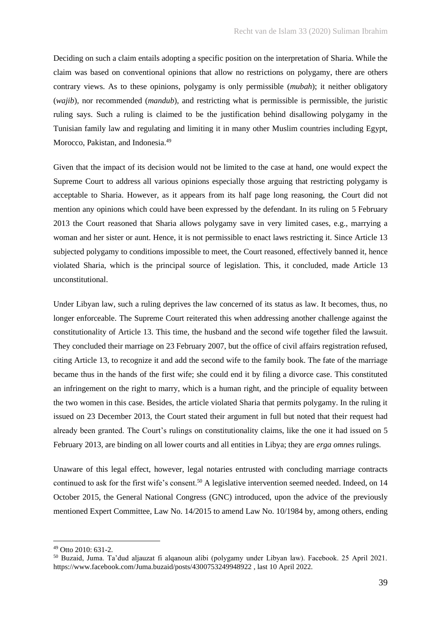Deciding on such a claim entails adopting a specific position on the interpretation of Sharia. While the claim was based on conventional opinions that allow no restrictions on polygamy, there are others contrary views. As to these opinions, polygamy is only permissible (*mubah*); it neither obligatory (*wajib*)*,* nor recommended (*mandub*), and restricting what is permissible is permissible, the juristic ruling says. Such a ruling is claimed to be the justification behind disallowing polygamy in the Tunisian family law and regulating and limiting it in many other Muslim countries including Egypt, Morocco, Pakistan, and Indonesia.<sup>49</sup>

Given that the impact of its decision would not be limited to the case at hand, one would expect the Supreme Court to address all various opinions especially those arguing that restricting polygamy is acceptable to Sharia. However, as it appears from its half page long reasoning, the Court did not mention any opinions which could have been expressed by the defendant. In its ruling on 5 February 2013 the Court reasoned that Sharia allows polygamy save in very limited cases, e.g., marrying a woman and her sister or aunt. Hence, it is not permissible to enact laws restricting it. Since Article 13 subjected polygamy to conditions impossible to meet, the Court reasoned, effectively banned it, hence violated Sharia, which is the principal source of legislation. This, it concluded, made Article 13 unconstitutional.

Under Libyan law, such a ruling deprives the law concerned of its status as law. It becomes, thus, no longer enforceable. The Supreme Court reiterated this when addressing another challenge against the constitutionality of Article 13. This time, the husband and the second wife together filed the lawsuit. They concluded their marriage on 23 February 2007, but the office of civil affairs registration refused, citing Article 13, to recognize it and add the second wife to the family book. The fate of the marriage became thus in the hands of the first wife; she could end it by filing a divorce case. This constituted an infringement on the right to marry, which is a human right, and the principle of equality between the two women in this case. Besides, the article violated Sharia that permits polygamy. In the ruling it issued on 23 December 2013, the Court stated their argument in full but noted that their request had already been granted. The Court's rulings on constitutionality claims, like the one it had issued on 5 February 2013, are binding on all lower courts and all entities in Libya; they are *erga omnes* rulings.

Unaware of this legal effect, however, legal notaries entrusted with concluding marriage contracts continued to ask for the first wife's consent.<sup>50</sup> A legislative intervention seemed needed. Indeed, on 14 October 2015, the General National Congress (GNC) introduced, upon the advice of the previously mentioned Expert Committee, Law No. 14/2015 to amend Law No. 10/1984 by, among others, ending

<sup>49</sup> Otto 2010: 631-2.

<sup>50</sup> Buzaid, Juma. Ta'dud aljauzat fi alqanoun alibi (polygamy under Libyan law). Facebook. 25 April 2021. https://www.facebook.com/Juma.buzaid/posts/4300753249948922 , last 10 April 2022.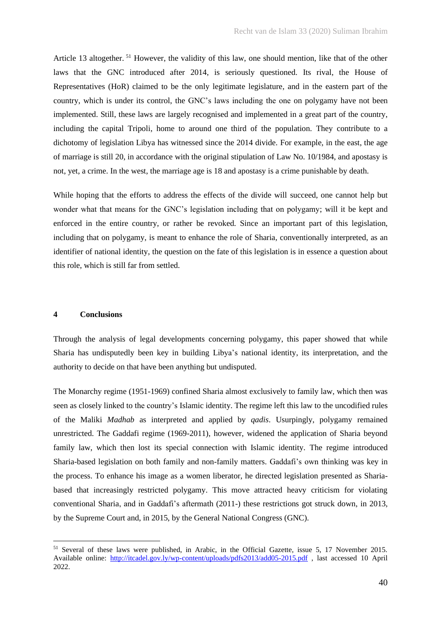Article 13 altogether.  $51$  However, the validity of this law, one should mention, like that of the other laws that the GNC introduced after 2014, is seriously questioned. Its rival, the House of Representatives (HoR) claimed to be the only legitimate legislature, and in the eastern part of the country, which is under its control, the GNC's laws including the one on polygamy have not been implemented. Still, these laws are largely recognised and implemented in a great part of the country, including the capital Tripoli, home to around one third of the population. They contribute to a dichotomy of legislation Libya has witnessed since the 2014 divide. For example, in the east, the age of marriage is still 20, in accordance with the original stipulation of Law No. 10/1984, and apostasy is not, yet, a crime. In the west, the marriage age is 18 and apostasy is a crime punishable by death.

While hoping that the efforts to address the effects of the divide will succeed, one cannot help but wonder what that means for the GNC's legislation including that on polygamy; will it be kept and enforced in the entire country, or rather be revoked. Since an important part of this legislation, including that on polygamy, is meant to enhance the role of Sharia, conventionally interpreted, as an identifier of national identity, the question on the fate of this legislation is in essence a question about this role, which is still far from settled.

## **4 Conclusions**

Through the analysis of legal developments concerning polygamy, this paper showed that while Sharia has undisputedly been key in building Libya's national identity, its interpretation, and the authority to decide on that have been anything but undisputed.

The Monarchy regime (1951-1969) confined Sharia almost exclusively to family law, which then was seen as closely linked to the country's Islamic identity. The regime left this law to the uncodified rules of the Maliki *Madhab* as interpreted and applied by *qadis*. Usurpingly, polygamy remained unrestricted. The Gaddafi regime (1969-2011), however, widened the application of Sharia beyond family law, which then lost its special connection with Islamic identity. The regime introduced Sharia-based legislation on both family and non-family matters. Gaddafi's own thinking was key in the process. To enhance his image as a women liberator, he directed legislation presented as Shariabased that increasingly restricted polygamy. This move attracted heavy criticism for violating conventional Sharia, and in Gaddafi's aftermath (2011-) these restrictions got struck down, in 2013, by the Supreme Court and, in 2015, by the General National Congress (GNC).

<sup>51</sup> Several of these laws were published, in Arabic, in the Official Gazette, issue 5, 17 November 2015. Available online: <http://itcadel.gov.ly/wp-content/uploads/pdfs2013/add05-2015.pdf> , last accessed 10 April 2022.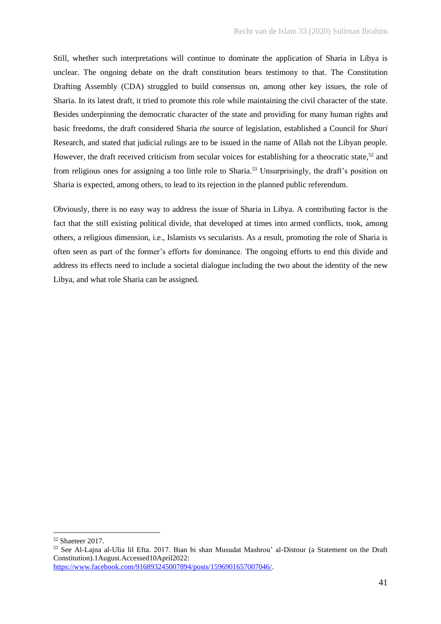Still, whether such interpretations will continue to dominate the application of Sharia in Libya is unclear. The ongoing debate on the draft constitution bears testimony to that. The Constitution Drafting Assembly (CDA) struggled to build consensus on, among other key issues, the role of Sharia. In its latest draft, it tried to promote this role while maintaining the civil character of the state. Besides underpinning the democratic character of the state and providing for many human rights and basic freedoms, the draft considered Sharia *the* source of legislation, established a Council for *Shari*  Research, and stated that judicial rulings are to be issued in the name of Allah not the Libyan people. However, the draft received criticism from secular voices for establishing for a theocratic state,<sup>52</sup> and from religious ones for assigning a too little role to Sharia.<sup>53</sup> Unsurprisingly, the draft's position on Sharia is expected, among others, to lead to its rejection in the planned public referendum.

Obviously, there is no easy way to address the issue of Sharia in Libya. A contributing factor is the fact that the still existing political divide, that developed at times into armed conflicts, took, among others, a religious dimension, i.e., Islamists vs secularists. As a result, promoting the role of Sharia is often seen as part of the former's efforts for dominance. The ongoing efforts to end this divide and address its effects need to include a societal dialogue including the two about the identity of the new Libya, and what role Sharia can be assigned.

<sup>52</sup> Shaeteer 2017.

<sup>53</sup> See Al-Lajna al-Ulia lil Efta. 2017. Bian bi shan Musudat Mashrou' al-Distour (a Statement on the Draft Constitution).1August.Accessed10April2022: [https://www.facebook.com/916893245007894/posts/1596901657007046/.](https://www.facebook.com/916893245007894/posts/1596901657007046/)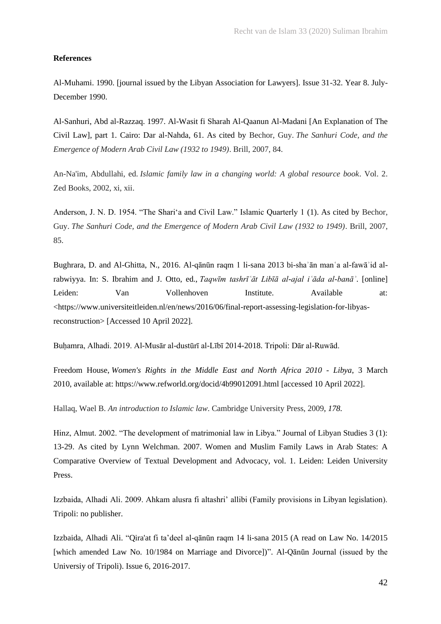### **References**

Al-Muhami. 1990. [journal issued by the Libyan Association for Lawyers]. Issue 31-32. Year 8. July-December 1990.

Al-Sanhuri, Abd al-Razzaq. 1997. Al-Wasit fi Sharah Al-Qaanun Al-Madani [An Explanation of The Civil Law], part 1. Cairo: Dar al-Nahda, 61. As cited by Bechor, Guy. *The Sanhuri Code, and the Emergence of Modern Arab Civil Law (1932 to 1949)*. Brill, 2007, 84.

An-Na'im, Abdullahi, ed. *Islamic family law in a changing world: A global resource book*. Vol. 2. Zed Books, 2002, xi, xii.

Anderson, J. N. D. 1954. "The Shari'a and Civil Law." Islamic Quarterly 1 (1). As cited by Bechor, Guy. *The Sanhuri Code, and the Emergence of Modern Arab Civil Law (1932 to 1949)*. Brill, 2007, 85.

Bughrara, D. and Al-Ghitta, N., 2016. Al-qānūn raqm 1 li-sana 2013 bi-shaʾān manʿa al-fawāʾid alrabwiyya. In: S. Ibrahim and J. Otto, ed., *Taqwīm tashrīʿāt Libīā al-ajal iʿāda al-banāʾ*. [online] Leiden: Van Vollenhoven Institute. Available at: <https://www.universiteitleiden.nl/en/news/2016/06/final-report-assessing-legislation-for-libyasreconstruction> [Accessed 10 April 2022].

Buḥamra, Alhadi. 2019. Al-Musār al-dustūrī al-Lībī 2014-2018. Tripoli: Dār al-Ruwād.

Freedom House, *Women's Rights in the Middle East and North Africa 2010 - Libya*, 3 March 2010, available at: https://www.refworld.org/docid/4b99012091.html [accessed 10 April 2022].

Hallaq, Wael B. *An introduction to Islamic law*. Cambridge University Press, 2009*, 178.*

Hinz, Almut. 2002. "The development of matrimonial law in Libya." Journal of Libyan Studies 3 (1): 13-29. As cited by Lynn Welchman. 2007. Women and Muslim Family Laws in Arab States: A Comparative Overview of Textual Development and Advocacy, vol. 1. Leiden: Leiden University Press.

Izzbaida, Alhadi Ali. 2009. Ahkam alusra fi altashri' allibi (Family provisions in Libyan legislation). Tripoli: no publisher.

Izzbaida, Alhadi Ali. "Qira'at fi ta'deel al-qānūn raqm 14 li-sana 2015 (A read on Law No. 14/2015 [which amended Law No. 10/1984 on Marriage and Divorce])". Al-Qānūn Journal (issued by the Universiy of Tripoli). Issue 6, 2016-2017.